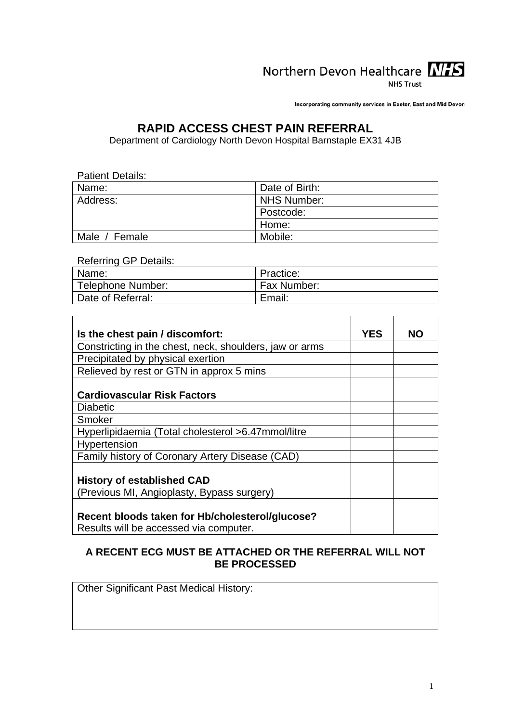

**NHS Trust** 

Incorporating community services in Exeter, East and Mid Devon

## **RAPID ACCESS CHEST PAIN REFERRAL**

Department of Cardiology North Devon Hospital Barnstaple EX31 4JB

| <b>Patient Details:</b> |                |  |  |  |
|-------------------------|----------------|--|--|--|
| Name:                   | Date of Birth: |  |  |  |
| Address:                | NHS Number:    |  |  |  |
|                         | Postcode:      |  |  |  |
|                         | Home:          |  |  |  |
| Male / Female           | Mobile:        |  |  |  |

Referring GP Details:

| Name:             | Practice:   |
|-------------------|-------------|
| Telephone Number: | Fax Number: |
| Date of Referral: | Email:      |

| Is the chest pain / discomfort:                         | <b>YES</b> | <b>NO</b> |
|---------------------------------------------------------|------------|-----------|
| Constricting in the chest, neck, shoulders, jaw or arms |            |           |
| Precipitated by physical exertion                       |            |           |
| Relieved by rest or GTN in approx 5 mins                |            |           |
|                                                         |            |           |
| <b>Cardiovascular Risk Factors</b>                      |            |           |
| <b>Diabetic</b>                                         |            |           |
| Smoker                                                  |            |           |
| Hyperlipidaemia (Total cholesterol >6.47mmol/litre      |            |           |
| Hypertension                                            |            |           |
| Family history of Coronary Artery Disease (CAD)         |            |           |
|                                                         |            |           |
| <b>History of established CAD</b>                       |            |           |
| (Previous MI, Angioplasty, Bypass surgery)              |            |           |
|                                                         |            |           |
| Recent bloods taken for Hb/cholesterol/glucose?         |            |           |
| Results will be accessed via computer.                  |            |           |

#### **A RECENT ECG MUST BE ATTACHED OR THE REFERRAL WILL NOT BE PROCESSED**

<span id="page-0-0"></span>Other Significant Past Medical History: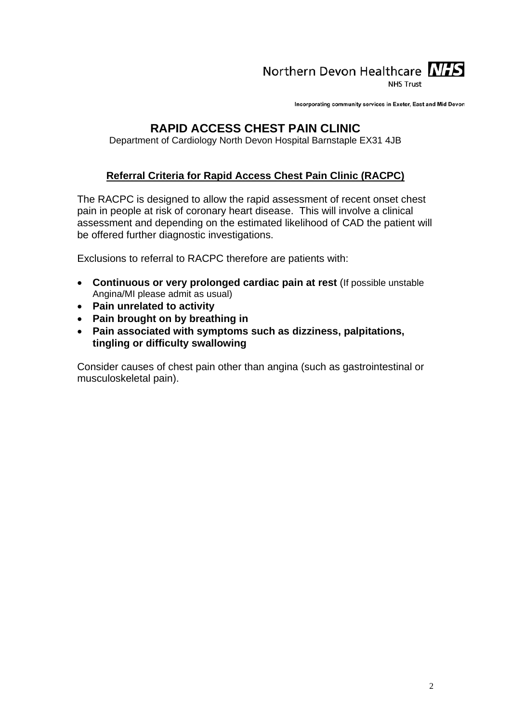# Northern Devon Healthcare NIS

**NHS Trust** 

Incorporating community services in Exeter, East and Mid Devon

## **RAPID ACCESS CHEST PAIN CLINIC**

Department of Cardiology North Devon Hospital Barnstaple EX31 4JB

## **Referral Criteria for Rapid Access Chest Pain Clinic (RACPC)**

The RACPC is designed to allow the rapid assessment of recent onset chest pain in people at risk of coronary heart disease. This will involve a clinical assessment and depending on the estimated likelihood of CAD the patient will be offered further diagnostic investigations.

Exclusions to referral to RACPC therefore are patients with:

- **Continuous or very prolonged cardiac pain at rest** (If possible unstable Angina/MI please admit as usual)
- **Pain unrelated to activity**
- **Pain brought on by breathing in**
- **Pain associated with symptoms such as dizziness, palpitations, tingling or difficulty swallowing**

Consider causes of chest pain other than angina (such as gastrointestinal or musculoskeletal pain).